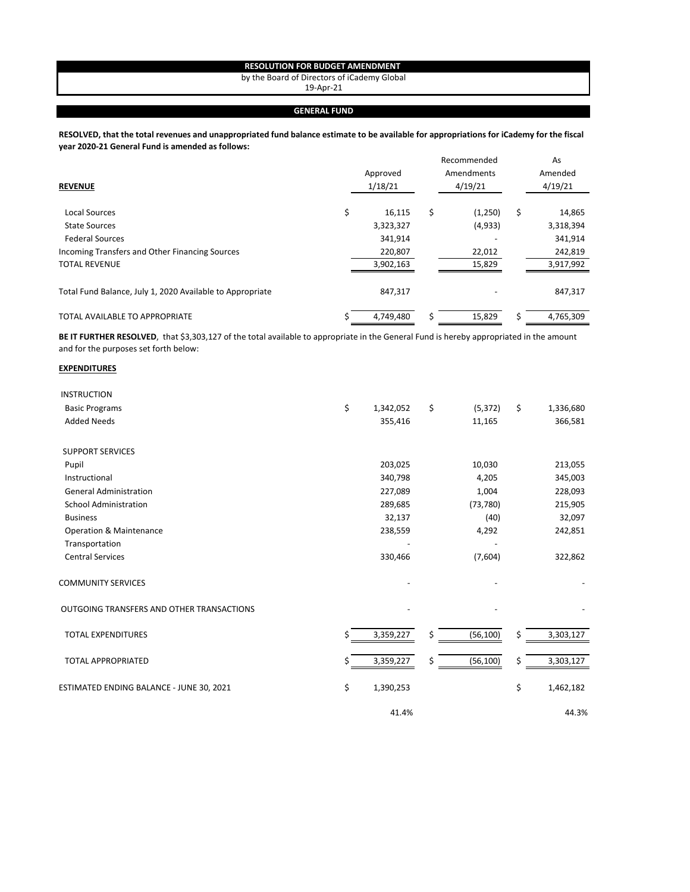## **RESOLUTION FOR BUDGET AMENDMENT**

by the Board of Directors of iCademy Global

19-Apr-21

## **GENERAL FUND**

**RESOLVED, that the total revenues and unappropriated fund balance estimate to be available for appropriations for iCademy for the fiscal year 2020-21 General Fund is amended as follows:**

| <b>REVENUE</b>                                            | Approved<br>1/18/21 |    | Recommended<br>Amendments<br>4/19/21 | As<br>Amended<br>4/19/21 |
|-----------------------------------------------------------|---------------------|----|--------------------------------------|--------------------------|
| Local Sources                                             | \$<br>16,115        | \$ | (1,250)                              | \$<br>14,865             |
| <b>State Sources</b>                                      | 3,323,327           |    | (4,933)                              | 3,318,394                |
| <b>Federal Sources</b>                                    | 341,914             |    |                                      | 341,914                  |
| Incoming Transfers and Other Financing Sources            | 220,807             |    | 22,012                               | 242,819                  |
| <b>TOTAL REVENUE</b>                                      | 3,902,163           |    | 15,829                               | 3,917,992                |
| Total Fund Balance, July 1, 2020 Available to Appropriate | 847,317             |    |                                      | 847,317                  |
| TOTAL AVAILABLE TO APPROPRIATE                            | 4,749,480           | Ś  | 15,829                               | 4,765,309                |

BE IT FURTHER RESOLVED, that \$3,303,127 of the total available to appropriate in the General Fund is hereby appropriated in the amount and for the purposes set forth below:

## **EXPENDITURES**

| <b>INSTRUCTION</b>                        |    |           |                 |                 |
|-------------------------------------------|----|-----------|-----------------|-----------------|
| <b>Basic Programs</b>                     | \$ | 1,342,052 | \$<br>(5, 372)  | \$<br>1,336,680 |
| <b>Added Needs</b>                        |    | 355,416   | 11,165          | 366,581         |
| <b>SUPPORT SERVICES</b>                   |    |           |                 |                 |
| Pupil                                     |    | 203,025   | 10,030          | 213,055         |
| Instructional                             |    | 340,798   | 4,205           | 345,003         |
| <b>General Administration</b>             |    | 227,089   | 1,004           | 228,093         |
| <b>School Administration</b>              |    | 289,685   | (73, 780)       | 215,905         |
| <b>Business</b>                           |    | 32,137    | (40)            | 32,097          |
| <b>Operation &amp; Maintenance</b>        |    | 238,559   | 4,292           | 242,851         |
| Transportation                            |    |           |                 |                 |
| <b>Central Services</b>                   |    | 330,466   | (7,604)         | 322,862         |
| <b>COMMUNITY SERVICES</b>                 |    |           |                 |                 |
| OUTGOING TRANSFERS AND OTHER TRANSACTIONS |    |           |                 |                 |
| <b>TOTAL EXPENDITURES</b>                 | \$ | 3,359,227 | \$<br>(56, 100) | \$<br>3,303,127 |
| <b>TOTAL APPROPRIATED</b>                 | Ś  | 3,359,227 | \$<br>(56, 100) | \$<br>3,303,127 |
| ESTIMATED ENDING BALANCE - JUNE 30, 2021  | \$ | 1,390,253 |                 | \$<br>1,462,182 |
|                                           |    | 41.4%     |                 | 44.3%           |